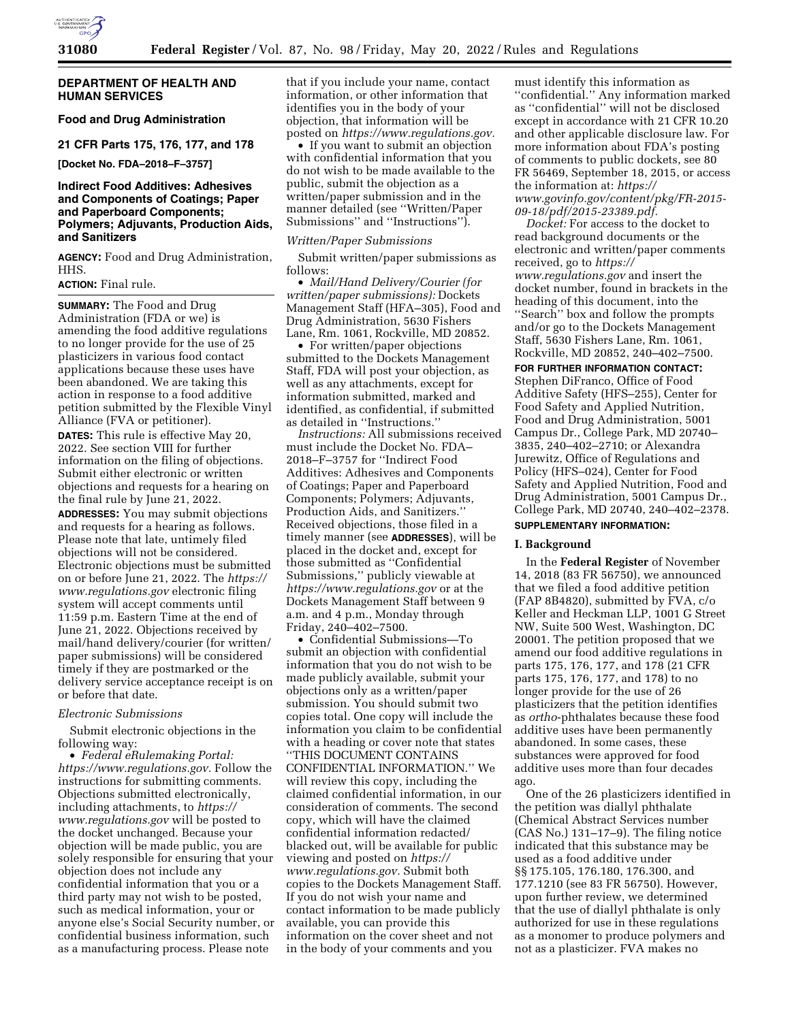

#### **DEPARTMENT OF HEALTH AND HUMAN SERVICES**

## **Food and Drug Administration**

#### **21 CFR Parts 175, 176, 177, and 178**

**[Docket No. FDA–2018–F–3757]** 

#### **Indirect Food Additives: Adhesives and Components of Coatings; Paper and Paperboard Components; Polymers; Adjuvants, Production Aids, and Sanitizers**

**AGENCY:** Food and Drug Administration, HHS.

#### **ACTION:** Final rule.

**SUMMARY:** The Food and Drug Administration (FDA or we) is amending the food additive regulations to no longer provide for the use of 25 plasticizers in various food contact applications because these uses have been abandoned. We are taking this action in response to a food additive petition submitted by the Flexible Vinyl Alliance (FVA or petitioner).

**DATES:** This rule is effective May 20, 2022. See section VIII for further information on the filing of objections. Submit either electronic or written objections and requests for a hearing on the final rule by June 21, 2022.

**ADDRESSES:** You may submit objections and requests for a hearing as follows. Please note that late, untimely filed objections will not be considered. Electronic objections must be submitted on or before June 21, 2022. The *[https://](https://www.regulations.gov)  [www.regulations.gov](https://www.regulations.gov)* electronic filing system will accept comments until 11:59 p.m. Eastern Time at the end of June 21, 2022. Objections received by mail/hand delivery/courier (for written/ paper submissions) will be considered timely if they are postmarked or the delivery service acceptance receipt is on or before that date.

#### *Electronic Submissions*

Submit electronic objections in the following way:

• *Federal eRulemaking Portal: [https://www.regulations.gov.](https://www.regulations.gov)* Follow the instructions for submitting comments. Objections submitted electronically, including attachments, to *[https://](https://www.regulations.gov) [www.regulations.gov](https://www.regulations.gov)* will be posted to the docket unchanged. Because your objection will be made public, you are solely responsible for ensuring that your objection does not include any confidential information that you or a third party may not wish to be posted, such as medical information, your or anyone else's Social Security number, or confidential business information, such as a manufacturing process. Please note

that if you include your name, contact information, or other information that identifies you in the body of your objection, that information will be posted on *[https://www.regulations.gov.](https://www.regulations.gov)* 

• If you want to submit an objection with confidential information that you do not wish to be made available to the public, submit the objection as a written/paper submission and in the manner detailed (see ''Written/Paper Submissions'' and ''Instructions'').

#### *Written/Paper Submissions*

Submit written/paper submissions as follows:

• *Mail/Hand Delivery/Courier (for written/paper submissions):* Dockets Management Staff (HFA–305), Food and Drug Administration, 5630 Fishers Lane, Rm. 1061, Rockville, MD 20852.

• For written/paper objections submitted to the Dockets Management Staff, FDA will post your objection, as well as any attachments, except for information submitted, marked and identified, as confidential, if submitted as detailed in ''Instructions.''

*Instructions:* All submissions received must include the Docket No. FDA– 2018–F–3757 for ''Indirect Food Additives: Adhesives and Components of Coatings; Paper and Paperboard Components; Polymers; Adjuvants, Production Aids, and Sanitizers.'' Received objections, those filed in a timely manner (see **ADDRESSES**), will be placed in the docket and, except for those submitted as ''Confidential Submissions,'' publicly viewable at *<https://www.regulations.gov>* or at the Dockets Management Staff between 9 a.m. and 4 p.m., Monday through Friday, 240–402–7500.

• Confidential Submissions—To submit an objection with confidential information that you do not wish to be made publicly available, submit your objections only as a written/paper submission. You should submit two copies total. One copy will include the information you claim to be confidential with a heading or cover note that states ''THIS DOCUMENT CONTAINS CONFIDENTIAL INFORMATION.'' We will review this copy, including the claimed confidential information, in our consideration of comments. The second copy, which will have the claimed confidential information redacted/ blacked out, will be available for public viewing and posted on *[https://](https://www.regulations.gov) [www.regulations.gov.](https://www.regulations.gov)* Submit both copies to the Dockets Management Staff. If you do not wish your name and contact information to be made publicly available, you can provide this information on the cover sheet and not in the body of your comments and you

must identify this information as ''confidential.'' Any information marked as ''confidential'' will not be disclosed except in accordance with 21 CFR 10.20 and other applicable disclosure law. For more information about FDA's posting of comments to public dockets, see 80 FR 56469, September 18, 2015, or access the information at: *[https://](https://www.govinfo.gov/content/pkg/FR-2015-09-18/pdf/2015-23389.pdf) [www.govinfo.gov/content/pkg/FR-2015-](https://www.govinfo.gov/content/pkg/FR-2015-09-18/pdf/2015-23389.pdf) [09-18/pdf/2015-23389.pdf.](https://www.govinfo.gov/content/pkg/FR-2015-09-18/pdf/2015-23389.pdf)* 

*Docket:* For access to the docket to read background documents or the electronic and written/paper comments received, go to *[https://](https://www.regulations.gov) [www.regulations.gov](https://www.regulations.gov)* and insert the docket number, found in brackets in the heading of this document, into the ''Search'' box and follow the prompts and/or go to the Dockets Management Staff, 5630 Fishers Lane, Rm. 1061, Rockville, MD 20852, 240–402–7500.

**FOR FURTHER INFORMATION CONTACT:**  Stephen DiFranco, Office of Food Additive Safety (HFS–255), Center for Food Safety and Applied Nutrition, Food and Drug Administration, 5001 Campus Dr., College Park, MD 20740– 3835, 240–402–2710; or Alexandra Jurewitz, Office of Regulations and Policy (HFS–024), Center for Food Safety and Applied Nutrition, Food and Drug Administration, 5001 Campus Dr., College Park, MD 20740, 240–402–2378.

#### **SUPPLEMENTARY INFORMATION:**

#### **I. Background**

In the **Federal Register** of November 14, 2018 (83 FR 56750), we announced that we filed a food additive petition (FAP 8B4820), submitted by FVA, c/o Keller and Heckman LLP, 1001 G Street NW, Suite 500 West, Washington, DC 20001. The petition proposed that we amend our food additive regulations in parts 175, 176, 177, and 178 (21 CFR parts 175, 176, 177, and 178) to no longer provide for the use of 26 plasticizers that the petition identifies as *ortho*-phthalates because these food additive uses have been permanently abandoned. In some cases, these substances were approved for food additive uses more than four decades ago.

One of the 26 plasticizers identified in the petition was diallyl phthalate (Chemical Abstract Services number (CAS No.) 131–17–9). The filing notice indicated that this substance may be used as a food additive under §§ 175.105, 176.180, 176.300, and 177.1210 (see 83 FR 56750). However, upon further review, we determined that the use of diallyl phthalate is only authorized for use in these regulations as a monomer to produce polymers and not as a plasticizer. FVA makes no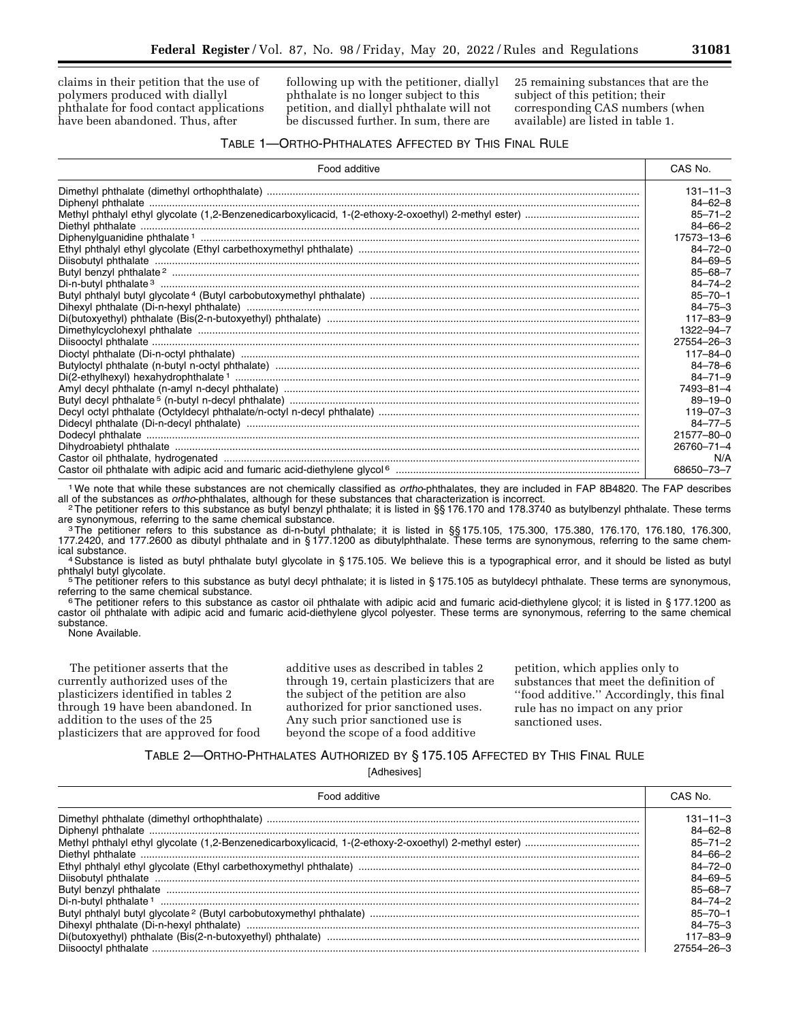claims in their petition that the use of polymers produced with diallyl phthalate for food contact applications have been abandoned. Thus, after

following up with the petitioner, diallyl phthalate is no longer subject to this petition, and diallyl phthalate will not be discussed further. In sum, there are

25 remaining substances that are the subject of this petition; their corresponding CAS numbers (when available) are listed in table 1.

#### TABLE 1—ORTHO-PHTHALATES AFFECTED BY THIS FINAL RULE

| Food additive                                                                                                                                                                                                                                                                                                                                                                                                                                                                                                                         | CAS No.        |
|---------------------------------------------------------------------------------------------------------------------------------------------------------------------------------------------------------------------------------------------------------------------------------------------------------------------------------------------------------------------------------------------------------------------------------------------------------------------------------------------------------------------------------------|----------------|
|                                                                                                                                                                                                                                                                                                                                                                                                                                                                                                                                       | $131 - 11 - 3$ |
|                                                                                                                                                                                                                                                                                                                                                                                                                                                                                                                                       | $84 - 62 - 8$  |
|                                                                                                                                                                                                                                                                                                                                                                                                                                                                                                                                       | $85 - 71 - 2$  |
|                                                                                                                                                                                                                                                                                                                                                                                                                                                                                                                                       | $84 - 66 - 2$  |
| $\textbf{Diethyl}\text{ phthalate}\text{ }\ldots\text{ }\ldots\text{ }\ldots\text{ }\ldots\text{ }\ldots\text{ }\ldots\text{ }\ldots\text{ }\ldots\text{ }\ldots\text{ }\ldots\text{ }\ldots\text{ }\ldots\text{ }\ldots\text{ }\ldots\text{ }\ldots\text{ }\ldots\text{ }\ldots\text{ }\ldots\text{ }\ldots\text{ }\ldots\text{ }\ldots\text{ }\ldots\text{ }\ldots\text{ }\ldots\text{ }\ldots\text{ }\ldots\text{ }\ldots\text{ }\ldots\text{ }\ldots\text{ }\ldots\text{ }\ldots\text{ }\ldots\text{ }\ldots\text{ }\ldots\text{$ | 17573-13-6     |
|                                                                                                                                                                                                                                                                                                                                                                                                                                                                                                                                       | $84 - 72 - 0$  |
|                                                                                                                                                                                                                                                                                                                                                                                                                                                                                                                                       | $84 - 69 - 5$  |
|                                                                                                                                                                                                                                                                                                                                                                                                                                                                                                                                       | $85 - 68 - 7$  |
|                                                                                                                                                                                                                                                                                                                                                                                                                                                                                                                                       | $84 - 74 - 2$  |
|                                                                                                                                                                                                                                                                                                                                                                                                                                                                                                                                       | $85 - 70 - 1$  |
|                                                                                                                                                                                                                                                                                                                                                                                                                                                                                                                                       | $84 - 75 - 3$  |
|                                                                                                                                                                                                                                                                                                                                                                                                                                                                                                                                       | $117 - 83 - 9$ |
|                                                                                                                                                                                                                                                                                                                                                                                                                                                                                                                                       | 1322-94-7      |
|                                                                                                                                                                                                                                                                                                                                                                                                                                                                                                                                       | 27554-26-3     |
|                                                                                                                                                                                                                                                                                                                                                                                                                                                                                                                                       | $117 - 84 - 0$ |
|                                                                                                                                                                                                                                                                                                                                                                                                                                                                                                                                       | $84 - 78 - 6$  |
|                                                                                                                                                                                                                                                                                                                                                                                                                                                                                                                                       | $84 - 71 - 9$  |
|                                                                                                                                                                                                                                                                                                                                                                                                                                                                                                                                       | 7493-81-4      |
|                                                                                                                                                                                                                                                                                                                                                                                                                                                                                                                                       | $89 - 19 - 0$  |
|                                                                                                                                                                                                                                                                                                                                                                                                                                                                                                                                       | $119 - 07 - 3$ |
|                                                                                                                                                                                                                                                                                                                                                                                                                                                                                                                                       | $84 - 77 - 5$  |
|                                                                                                                                                                                                                                                                                                                                                                                                                                                                                                                                       | 21577-80-0     |
|                                                                                                                                                                                                                                                                                                                                                                                                                                                                                                                                       | 26760-71-4     |
|                                                                                                                                                                                                                                                                                                                                                                                                                                                                                                                                       | N/A            |
|                                                                                                                                                                                                                                                                                                                                                                                                                                                                                                                                       | 68650-73-7     |

<sup>1</sup> We note that while these substances are not chemically classified as *ortho*-phthalates, they are included in FAP 8B4820. The FAP describes all of the substances as *ortho*-phthalates, although for these substances tha

<sup>2</sup> The petitioner refers to this substance as butyl benzyl phthalate; it is listed in §§ 176.170 and 178.3740 as butylbenzyl phthalate. These terms are synonymous, referring to the same chemical substance. are synonymous, referring to the same chemical substance.<br>3The petitioner refers to this substance as di-n-butyl phthalate; it is listed in §§ 175.105, 175.300, 175.380, 176.170, 176.180, 176.300,

177.2420, and 177.2600 as dibutyl phthalate and in § 177.1200 as dibutylphthalate. These terms are synonymous, referring to the same chem-

ical substance.<br>4 Substance is listed as butyl phthalate butyl glycolate in § 175.105. We believe this is a typographical error, and it should be listed as butyl<br>phthalyl butyl glycolate.

<sup>1</sup> <sup>5</sup>The petitioner refers to this substance as butyl decyl phthalate; it is listed in § 175.105 as butyldecyl phthalate. These terms are synonymous,<br>referring to the same chemical substance.

 $6$ The petitioner refers to this substance as castor oil phthalate with adipic acid and fumaric acid-diethylene glycol; it is listed in § 177.1200 as castor oil phthalate with adipic acid and fumaric acid-diethylene glycol polyester. These terms are synonymous, referring to the same chemical substance.

None Available.

The petitioner asserts that the currently authorized uses of the plasticizers identified in tables 2 through 19 have been abandoned. In addition to the uses of the 25 plasticizers that are approved for food additive uses as described in tables 2 through 19, certain plasticizers that are the subject of the petition are also authorized for prior sanctioned uses. Any such prior sanctioned use is beyond the scope of a food additive

petition, which applies only to substances that meet the definition of ''food additive.'' Accordingly, this final rule has no impact on any prior sanctioned uses.

### TABLE 2—ORTHO-PHTHALATES AUTHORIZED BY § 175.105 AFFECTED BY THIS FINAL RULE

[Adhesives]

| Food additive | CAS No.       |
|---------------|---------------|
|               | 131–11–3      |
|               | $84 - 62 - 8$ |
|               | $85 - 71 - 2$ |
|               | $84 - 66 - 2$ |
| Ethvl         | $84 - 72 - 0$ |
|               | $84 - 69 - 5$ |
|               | $85 - 68 - 7$ |
|               | $84 - 74 - 2$ |
|               | $85 - 70 - 1$ |
|               | $84 - 75 - 3$ |
|               | 117–83–9      |
|               | 27554–26–3    |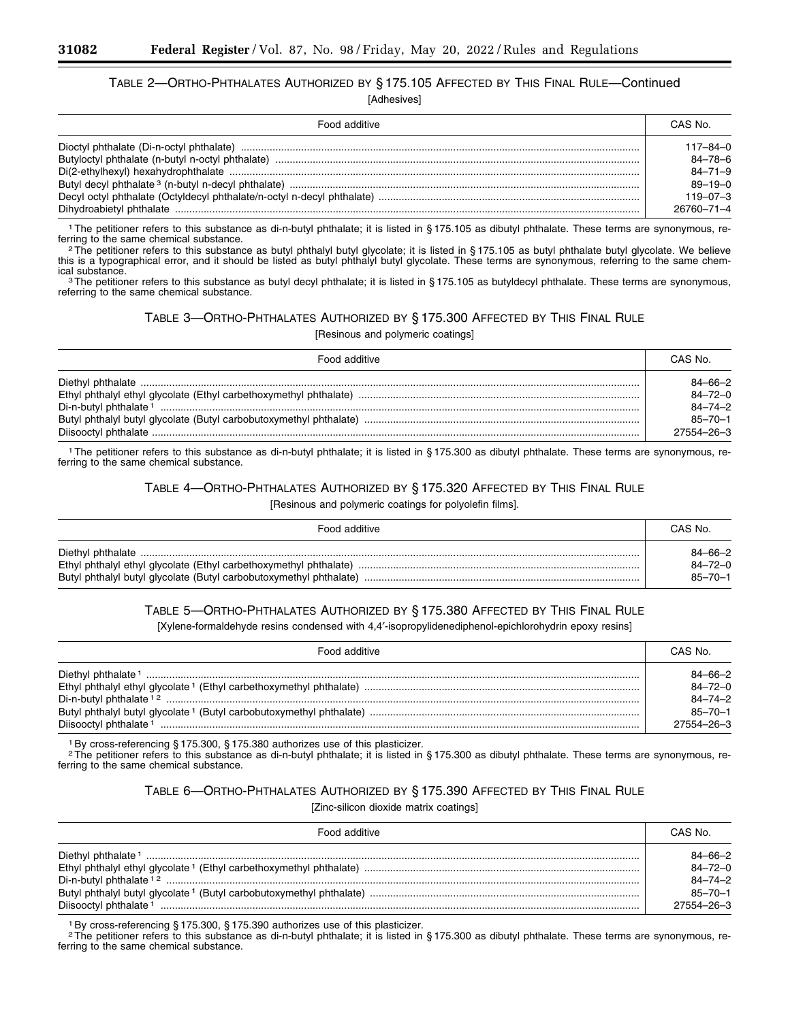# TABLE 2—ORTHO-PHTHALATES AUTHORIZED BY § 175.105 AFFECTED BY THIS FINAL RULE—Continued

[Adhesives]

| Food additive | CAS No.        |
|---------------|----------------|
|               | l 17–84–0      |
|               | $84 - 78 - 6$  |
|               | $84 - 71 - 9$  |
|               | $89 - 19 - 0$  |
|               | $119 - 07 - 3$ |
|               | 26760–71–4     |

<sup>1</sup>The petitioner refers to this substance as di-n-butyl phthalate; it is listed in § 175.105 as dibutyl phthalate. These terms are synonymous, referring to the same chemical substance. ferring to the same chemical substance.<br><sup>2</sup>The petitioner refers to this substance as butyl phthalyl butyl glycolate; it is listed in § 175.105 as butyl phthalate butyl glycolate. We believe

this is a typographical error, and it should be listed as butyl phthalyl butyl glycolate. These terms are synonymous, referring to the same chemical substance.<br><sup>3</sup>The petitioner refers to this substance as butyl decyl phthalate; it is listed in § 175.105 as butyldecyl phthalate. These terms are synonymous,

referring to the same chemical substance.

### TABLE 3—ORTHO-PHTHALATES AUTHORIZED BY § 175.300 AFFECTED BY THIS FINAL RULE

[Resinous and polymeric coatings]

| Food additive | CAS No.       |
|---------------|---------------|
|               | $84 - 66 - 2$ |
|               | $84 - 72 - 0$ |
|               | $84 - 74 - 2$ |
|               | $85 - 70 - 1$ |
|               | 27554-26-3    |

1The petitioner refers to this substance as di-n-butyl phthalate; it is listed in § 175.300 as dibutyl phthalate. These terms are synonymous, referring to the same chemical substance.

### TABLE 4—ORTHO-PHTHALATES AUTHORIZED BY § 175.320 AFFECTED BY THIS FINAL RULE

[Resinous and polymeric coatings for polyolefin films].

| Food additive | CAS No.       |
|---------------|---------------|
|               | $84 - 66 - 2$ |
|               | 84-72-0       |
|               | $85 - 70 - 1$ |

### TABLE 5—ORTHO-PHTHALATES AUTHORIZED BY § 175.380 AFFECTED BY THIS FINAL RULE

[Xylene-formaldehyde resins condensed with 4,4'-isopropylidenediphenol-epichlorohydrin epoxy resins]

| Food additive                      | CAS No.       |
|------------------------------------|---------------|
| Diethyl phthalate <sup>1</sup>     | $84 - 66 - 2$ |
|                                    | $84 - 72 - 0$ |
| Di-n-butyl phthalate <sup>12</sup> | $84 - 74 - 2$ |
|                                    | $85 - 70 - 1$ |
|                                    | 27554-26-3    |

1By cross-referencing § 175.300, § 175.380 authorizes use of this plasticizer.

<sup>2</sup>The petitioner refers to this substance as di-n-butyl phthalate; it is listed in § 175.300 as dibutyl phthalate. These terms are synonymous, referring to the same chemical substance.

### TABLE 6—ORTHO-PHTHALATES AUTHORIZED BY § 175.390 AFFECTED BY THIS FINAL RULE

[Zinc-silicon dioxide matrix coatings]

| Food additive                      | CAS No.                        |
|------------------------------------|--------------------------------|
| Diethyl phthalate <sup>1</sup>     | $84 - 66 - 2$                  |
| Di-n-butyl phthalate <sup>12</sup> | $84 - 72 - 0$<br>$84 - 74 - 2$ |
|                                    | $85 - 70 - 1$                  |
| Diisooctyl phthalate <sup>1</sup>  | $27554 - 26 - 3$               |

1By cross-referencing § 175.300, § 175.390 authorizes use of this plasticizer.

2The petitioner refers to this substance as di-n-butyl phthalate; it is listed in § 175.300 as dibutyl phthalate. These terms are synonymous, referring to the same chemical substance.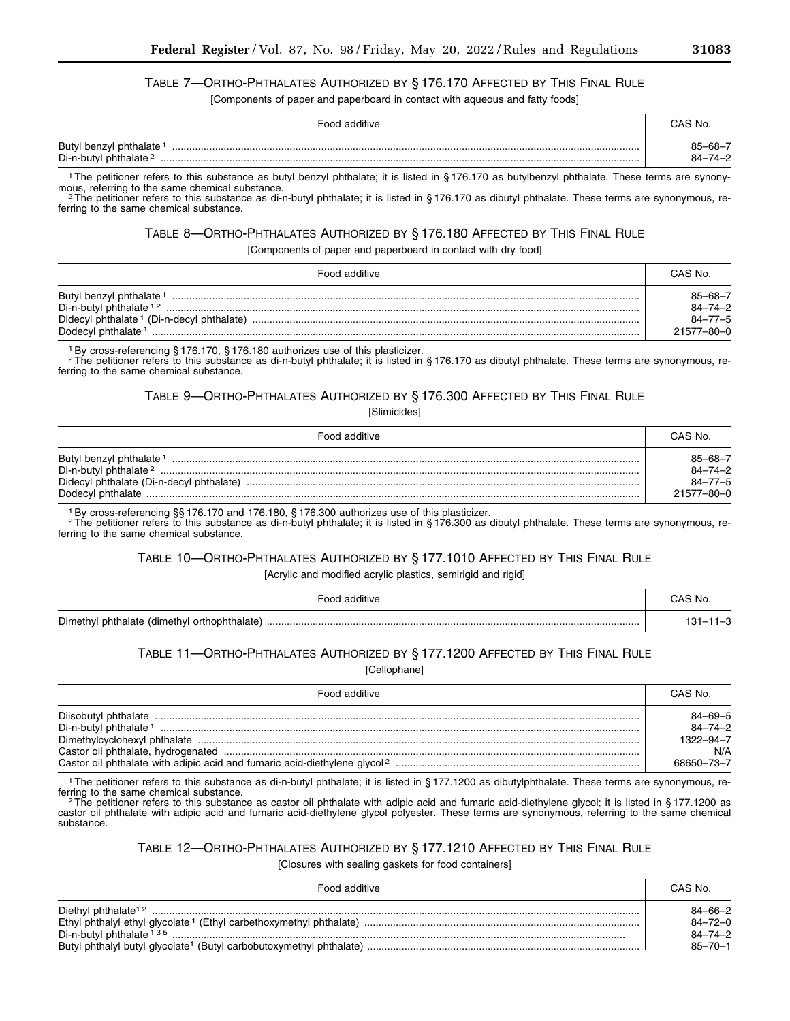# TABLE 7—ORTHO-PHTHALATES AUTHORIZED BY § 176.170 AFFECTED BY THIS FINAL RULE

[Components of paper and paperboard in contact with aqueous and fatty foods]

| Food additive                                                 | CAS No.                  |
|---------------------------------------------------------------|--------------------------|
| Butyl benzyl phthalate 1<br>Di-n-butyl phthalate <sup>2</sup> | 85–68–7<br>$84 - 74 - 2$ |

<sup>1</sup>The petitioner refers to this substance as butyl benzyl phthalate; it is listed in § 176.170 as butylbenzyl phthalate. These terms are synony-<br>mous, referring to the same chemical substance.

<sup>2</sup>The petitioner refers to this substance as di-n-butyl phthalate; it is listed in § 176.170 as dibutyl phthalate. These terms are synonymous, referring to the same chemical substance.

### TABLE 8—ORTHO-PHTHALATES AUTHORIZED BY § 176.180 AFFECTED BY THIS FINAL RULE

[Components of paper and paperboard in contact with dry food]

| Food additive                                         | CAS No.          |
|-------------------------------------------------------|------------------|
| Butyl benzyl phthalate 1                              | $85 - 68 - 7$    |
| Di-n-butyl phthalate <sup>12</sup> .                  | $84 - 74 - 2$    |
| Didecyl phthalate <sup>1</sup> (Di-n-decyl phthalate) | $84 - 77 - 5$    |
| Dodecyl phthalate <sup>1</sup>                        | $21577 - 80 - 0$ |

1By cross-referencing § 176.170, § 176.180 authorizes use of this plasticizer.

2The petitioner refers to this substance as di-n-butyl phthalate; it is listed in § 176.170 as dibutyl phthalate. These terms are synonymous, referring to the same chemical substance.

# TABLE 9—ORTHO-PHTHALATES AUTHORIZED BY § 176.300 AFFECTED BY THIS FINAL RULE

[Slimicides]

| Food additive                                                                                                        | CAS No.                                                 |
|----------------------------------------------------------------------------------------------------------------------|---------------------------------------------------------|
| Butyl benzyl phthalate <sup>1</sup><br>Di-n-butyl phthalate <sup>2</sup><br>Didecyl phthalate (Di-n-decyl phthalate) | $85 - 68 - 7$<br>84-74-2<br>$84 - 77 - 5$<br>21577-80-0 |

1By cross-referencing §§ 176.170 and 176.180, § 176.300 authorizes use of this plasticizer.

2The petitioner refers to this substance as di-n-butyl phthalate; it is listed in § 176.300 as dibutyl phthalate. These terms are synonymous, referring to the same chemical substance.

# TABLE 10—ORTHO-PHTHALATES AUTHORIZED BY § 177.1010 AFFECTED BY THIS FINAL RULE

[Acrylic and modified acrylic plastics, semirigid and rigid]

| Food additive                                | CAS No.        |
|----------------------------------------------|----------------|
| Dimethyl phthalate (dimethyl orthophthalate) | $131 - 11 - 3$ |

### TABLE 11—ORTHO-PHTHALATES AUTHORIZED BY § 177.1200 AFFECTED BY THIS FINAL RULE

[Cellophane]

| Food additive                                                                         | CAS No.                        |
|---------------------------------------------------------------------------------------|--------------------------------|
| Diisobutyl phthalate<br>Di-n-butyl phthalate <sup>1</sup>                             | $84 - 69 - 5$<br>$84 - 74 - 2$ |
| Dimethylcyclohexyl phthalate                                                          | 1322-94-7<br>N/A               |
| Castor oil phthalate with adipic acid and fumaric acid-diethylene glycol <sup>2</sup> | 68650-73-7                     |

<sup>1</sup>The petitioner refers to this substance as di-n-butyl phthalate; it is listed in § 177.1200 as dibutylphthalate. These terms are synonymous, referring to the same chemical substance.

<sup>2</sup>The petitioner refers to this substance as castor oil phthalate with adipic acid and fumaric acid-diethylene glycol; it is listed in § 177.1200 as castor oil phthalate with adipic acid and fumaric acid-diethylene glycol polyester. These terms are synonymous, referring to the same chemical substance.

#### TABLE 12—ORTHO-PHTHALATES AUTHORIZED BY § 177.1210 AFFECTED BY THIS FINAL RULE

[Closures with sealing gaskets for food containers]

| Food additive                                                                   | CAS No.       |
|---------------------------------------------------------------------------------|---------------|
| Diethyl phthalate <sup>12</sup>                                                 | $84 - 66 - 2$ |
| Ethyl phthalyl ethyl glycolate <sup>1</sup> (Ethyl carbethoxymethyl phthalate). | $84 - 72 - 0$ |
| Di-n-butyl phthalate 135                                                        | $84 - 74 - 2$ |
| Butyl phthalyl butyl glycolate <sup>1</sup> (Butyl carbobutoxymethyl phthalate) | $85 - 70 - 1$ |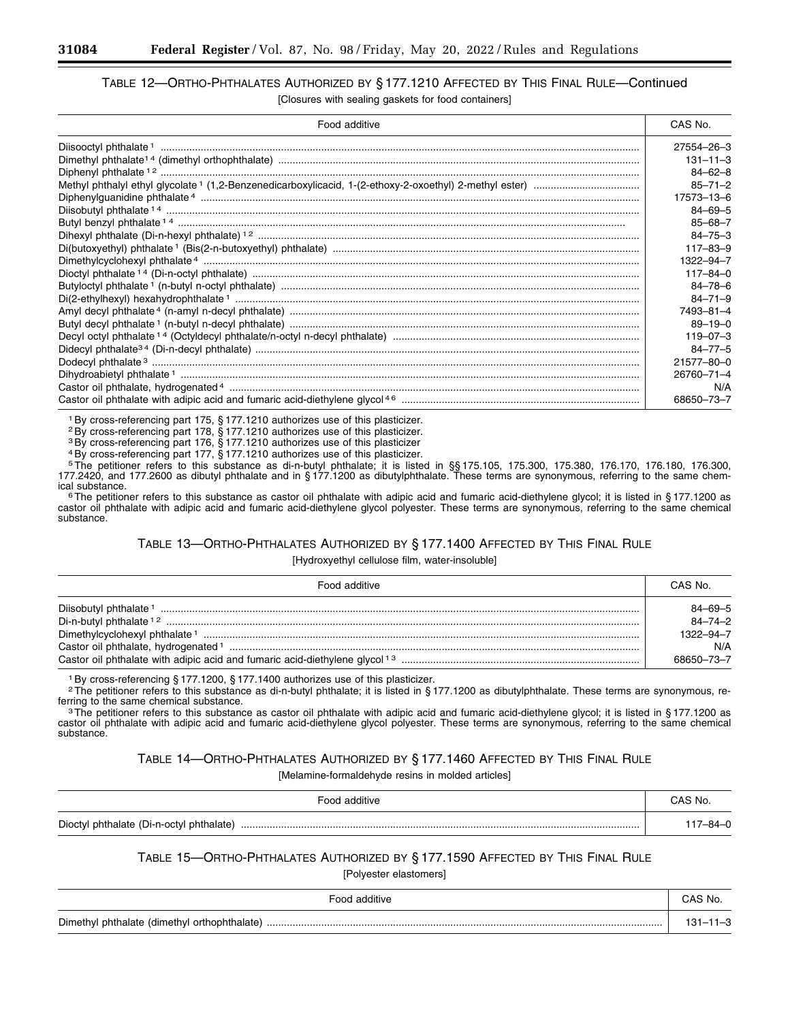### TABLE 12—ORTHO-PHTHALATES AUTHORIZED BY § 177.1210 AFFECTED BY THIS FINAL RULE—Continued [Closures with sealing gaskets for food containers]

| Food additive                                                                                                                                                                                                                                                                                                                                              | CAS No.         |
|------------------------------------------------------------------------------------------------------------------------------------------------------------------------------------------------------------------------------------------------------------------------------------------------------------------------------------------------------------|-----------------|
|                                                                                                                                                                                                                                                                                                                                                            | 27554-26-3      |
|                                                                                                                                                                                                                                                                                                                                                            | $131 - 11 - 3$  |
|                                                                                                                                                                                                                                                                                                                                                            | $84 - 62 - 8$   |
|                                                                                                                                                                                                                                                                                                                                                            | $85 - 71 - 2$   |
|                                                                                                                                                                                                                                                                                                                                                            | 17573-13-6      |
| $\textbf{Diphenylguanidine pithalate } 4 \text{ } \text{ } \text{ } \text{ } \text{ } \text{ } \text{ } \text{ } \text{ } \text{ } \text{ } \text{ } \text{ } \text{ } \text{ } \text{ } \text{ } \text{ } \text{ } \text{ } \text{ } \text{ } \text{ } \text{ } \text{ } \text{ } \text{ } \text{ } \text{ } \text{ } \text{ } \text{ } \text{ } \text{ $ | $84 - 69 - 5$   |
|                                                                                                                                                                                                                                                                                                                                                            | $85 - 68 - 7$   |
|                                                                                                                                                                                                                                                                                                                                                            | $84 - 75 - 3$   |
|                                                                                                                                                                                                                                                                                                                                                            | $117 - 83 - 9$  |
|                                                                                                                                                                                                                                                                                                                                                            | $1322 - 94 - 7$ |
|                                                                                                                                                                                                                                                                                                                                                            | $117 - 84 - 0$  |
|                                                                                                                                                                                                                                                                                                                                                            | $84 - 78 - 6$   |
|                                                                                                                                                                                                                                                                                                                                                            | $84 - 71 - 9$   |
|                                                                                                                                                                                                                                                                                                                                                            | 7493-81-4       |
|                                                                                                                                                                                                                                                                                                                                                            | $89 - 19 - 0$   |
|                                                                                                                                                                                                                                                                                                                                                            | $119 - 07 - 3$  |
|                                                                                                                                                                                                                                                                                                                                                            | $84 - 77 - 5$   |
|                                                                                                                                                                                                                                                                                                                                                            | 21577-80-0      |
|                                                                                                                                                                                                                                                                                                                                                            | 26760-71-4      |
|                                                                                                                                                                                                                                                                                                                                                            | N/A             |
|                                                                                                                                                                                                                                                                                                                                                            | 68650-73-7      |

1By cross-referencing part 175, § 177.1210 authorizes use of this plasticizer.

2By cross-referencing part 178, § 177.1210 authorizes use of this plasticizer.

3By cross-referencing part 176, § 177.1210 authorizes use of this plasticizer

4By cross-referencing part 177, § 177.1210 authorizes use of this plasticizer.

5The petitioner refers to this substance as di-n-butyl phthalate; it is listed in §§ 175.105, 175.300, 175.380, 176.170, 176.180, 176.300, 177.2420, and 177.2600 as dibutyl phthalate and in § 177.1200 as dibutylphthalate. These terms are synonymous, referring to the same chem-<br>ical substance.

<sup>6</sup>The petitioner refers to this substance as castor oil phthalate with adipic acid and fumaric acid-diethylene glycol; it is listed in § 177.1200 as castor oil phthalate with adipic acid and fumaric acid-diethylene glycol polyester. These terms are synonymous, referring to the same chemical substance.

### TABLE 13—ORTHO-PHTHALATES AUTHORIZED BY § 177.1400 AFFECTED BY THIS FINAL RULE [Hydroxyethyl cellulose film, water-insoluble]

| Food additive                                                                          | CAS No.                          |
|----------------------------------------------------------------------------------------|----------------------------------|
|                                                                                        | $84 - 69 - 5$                    |
|                                                                                        | $84 - 74 - 2$<br>$1322 - 94 - 7$ |
|                                                                                        | N/A                              |
| Castor oil phthalate with adipic acid and fumaric acid-diethylene glycol <sup>13</sup> | 68650-73-7                       |

1By cross-referencing § 177.1200, § 177.1400 authorizes use of this plasticizer.

<sup>2</sup>The petitioner refers to this substance as di-n-butyl phthalate; it is listed in § 177.1200 as dibutylphthalate. These terms are synonymous, referring to the same chemical substance.

<sup>3</sup>The petitioner refers to this substance as castor oil phthalate with adipic acid and fumaric acid-diethylene glycol; it is listed in § 177.1200 as castor oil phthalate with adipic acid and fumaric acid-diethylene glycol polyester. These terms are synonymous, referring to the same chemical substance.

TABLE 14—ORTHO-PHTHALATES AUTHORIZED BY § 177.1460 AFFECTED BY THIS FINAL RULE

[Melamine-formaldehyde resins in molded articles]

| Food additive                                 | CAS No. |
|-----------------------------------------------|---------|
| Dioctyl phthalate (Di-n-octyl phthalate)<br>. | _ഒ⊿_∩   |

# TABLE 15—ORTHO-PHTHALATES AUTHORIZED BY § 177.1590 AFFECTED BY THIS FINAL RULE

[Polyester elastomers]

| ะ∩∩ศ<br>additive                                          | CAS No. |
|-----------------------------------------------------------|---------|
| Dimethyl<br>l phthalate (dimethyl<br>I orthophthalate<br> |         |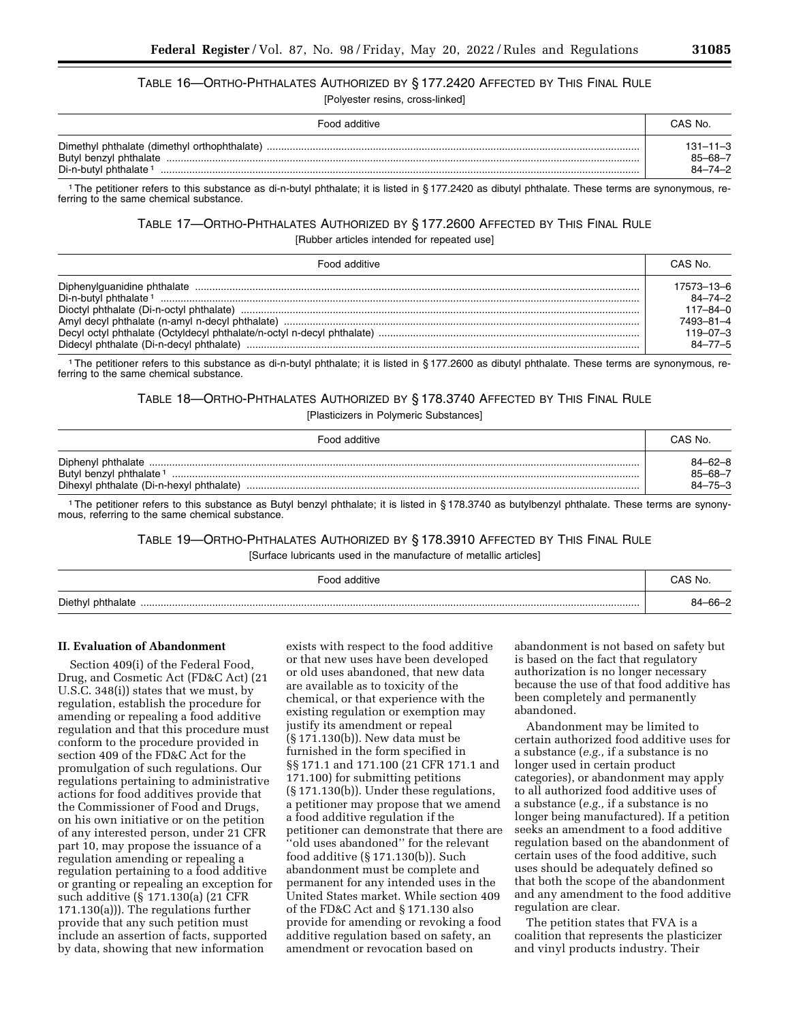# TABLE 16—ORTHO-PHTHALATES AUTHORIZED BY § 177.2420 AFFECTED BY THIS FINAL RULE

[Polyester resins, cross-linked]

| Food additive                     | CAS No.                                    |
|-----------------------------------|--------------------------------------------|
| Di-n-butyl phthalate <sup>1</sup> | $131 - 11 - 3$<br>$85 - 68 - 7$<br>84-74-2 |

1The petitioner refers to this substance as di-n-butyl phthalate; it is listed in § 177.2420 as dibutyl phthalate. These terms are synonymous, referring to the same chemical substance.

### TABLE 17—ORTHO-PHTHALATES AUTHORIZED BY § 177.2600 AFFECTED BY THIS FINAL RULE [Rubber articles intended for repeated use]

| Food additive | CAS No.        |
|---------------|----------------|
|               | 17573-13-6     |
|               | $84 - 74 - 2$  |
|               | $117 - 84 - 0$ |
|               | 7493-81-4      |
|               | $119 - 07 - 3$ |
|               | $84 - 77 - 5$  |

1The petitioner refers to this substance as di-n-butyl phthalate; it is listed in § 177.2600 as dibutyl phthalate. These terms are synonymous, referring to the same chemical substance.

### TABLE 18—ORTHO-PHTHALATES AUTHORIZED BY § 178.3740 AFFECTED BY THIS FINAL RULE

[Plasticizers in Polymeric Substances]

| Food additive                                                                   | CAS No.                                   |
|---------------------------------------------------------------------------------|-------------------------------------------|
| Butyl benzyl phthalate <sup>1</sup><br>Dihexyl phthalate (Di-n-hexyl phthalate) | $84 - 62 - 8$<br>85-68-7<br>$84 - 75 - 3$ |

1The petitioner refers to this substance as Butyl benzyl phthalate; it is listed in § 178.3740 as butylbenzyl phthalate. These terms are synonymous, referring to the same chemical substance.

### TABLE 19—ORTHO-PHTHALATES AUTHORIZED BY § 178.3910 AFFECTED BY THIS FINAL RULE

[Surface lubricants used in the manufacture of metallic articles]

| Food additive | CAS No.       |
|---------------|---------------|
|               | $84 - 66 - 2$ |

#### **II. Evaluation of Abandonment**

Section 409(i) of the Federal Food, Drug, and Cosmetic Act (FD&C Act) (21 U.S.C. 348(i)) states that we must, by regulation, establish the procedure for amending or repealing a food additive regulation and that this procedure must conform to the procedure provided in section 409 of the FD&C Act for the promulgation of such regulations. Our regulations pertaining to administrative actions for food additives provide that the Commissioner of Food and Drugs, on his own initiative or on the petition of any interested person, under 21 CFR part 10, may propose the issuance of a regulation amending or repealing a regulation pertaining to a food additive or granting or repealing an exception for such additive (§ 171.130(a) (21 CFR 171.130(a))). The regulations further provide that any such petition must include an assertion of facts, supported by data, showing that new information

exists with respect to the food additive or that new uses have been developed or old uses abandoned, that new data are available as to toxicity of the chemical, or that experience with the existing regulation or exemption may justify its amendment or repeal (§ 171.130(b)). New data must be furnished in the form specified in §§ 171.1 and 171.100 (21 CFR 171.1 and 171.100) for submitting petitions (§ 171.130(b)). Under these regulations, a petitioner may propose that we amend a food additive regulation if the petitioner can demonstrate that there are 'old uses abandoned" for the relevant food additive (§ 171.130(b)). Such abandonment must be complete and permanent for any intended uses in the United States market. While section 409 of the FD&C Act and § 171.130 also provide for amending or revoking a food additive regulation based on safety, an amendment or revocation based on

abandonment is not based on safety but is based on the fact that regulatory authorization is no longer necessary because the use of that food additive has been completely and permanently abandoned.

Abandonment may be limited to certain authorized food additive uses for a substance (*e.g.,* if a substance is no longer used in certain product categories), or abandonment may apply to all authorized food additive uses of a substance (*e.g.,* if a substance is no longer being manufactured). If a petition seeks an amendment to a food additive regulation based on the abandonment of certain uses of the food additive, such uses should be adequately defined so that both the scope of the abandonment and any amendment to the food additive regulation are clear.

The petition states that FVA is a coalition that represents the plasticizer and vinyl products industry. Their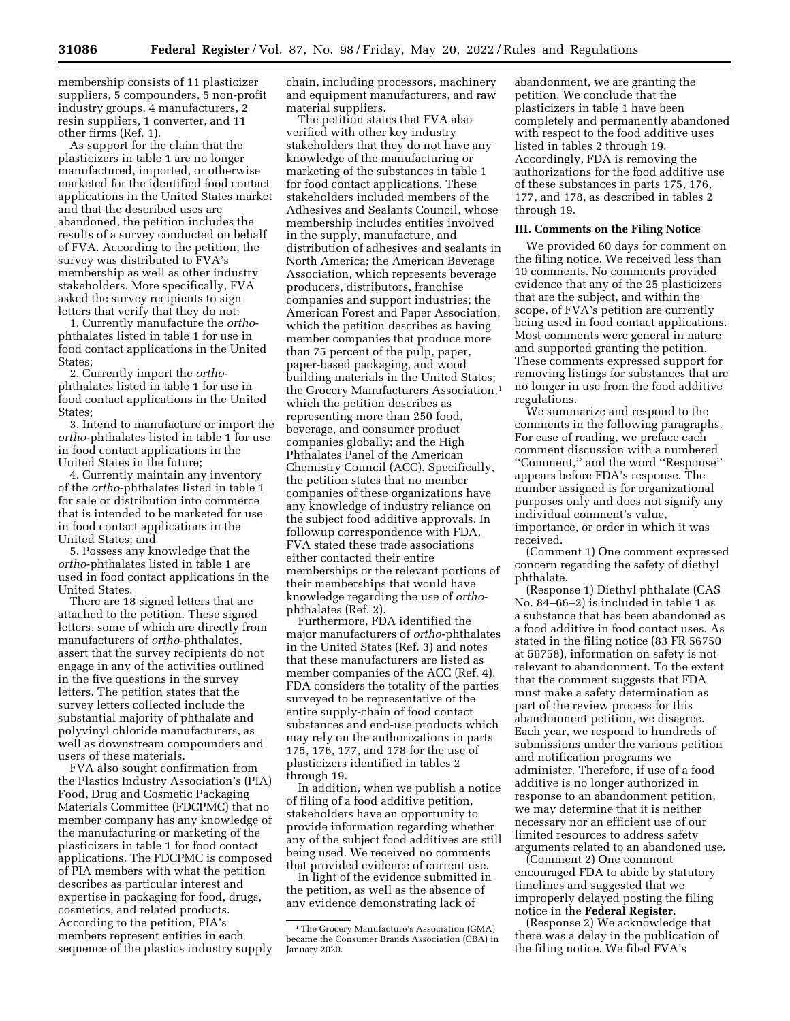membership consists of 11 plasticizer suppliers, 5 compounders, 5 non-profit industry groups, 4 manufacturers, 2 resin suppliers, 1 converter, and 11 other firms (Ref. 1).

As support for the claim that the plasticizers in table 1 are no longer manufactured, imported, or otherwise marketed for the identified food contact applications in the United States market and that the described uses are abandoned, the petition includes the results of a survey conducted on behalf of FVA. According to the petition, the survey was distributed to FVA's membership as well as other industry stakeholders. More specifically, FVA asked the survey recipients to sign letters that verify that they do not:

1. Currently manufacture the *ortho*phthalates listed in table 1 for use in food contact applications in the United States;

2. Currently import the *ortho*phthalates listed in table 1 for use in food contact applications in the United States;

3. Intend to manufacture or import the *ortho*-phthalates listed in table 1 for use in food contact applications in the United States in the future;

4. Currently maintain any inventory of the *ortho*-phthalates listed in table 1 for sale or distribution into commerce that is intended to be marketed for use in food contact applications in the United States; and

5. Possess any knowledge that the *ortho*-phthalates listed in table 1 are used in food contact applications in the United States.

There are 18 signed letters that are attached to the petition. These signed letters, some of which are directly from manufacturers of *ortho*-phthalates, assert that the survey recipients do not engage in any of the activities outlined in the five questions in the survey letters. The petition states that the survey letters collected include the substantial majority of phthalate and polyvinyl chloride manufacturers, as well as downstream compounders and users of these materials.

FVA also sought confirmation from the Plastics Industry Association's (PIA) Food, Drug and Cosmetic Packaging Materials Committee (FDCPMC) that no member company has any knowledge of the manufacturing or marketing of the plasticizers in table 1 for food contact applications. The FDCPMC is composed of PIA members with what the petition describes as particular interest and expertise in packaging for food, drugs, cosmetics, and related products. According to the petition, PIA's members represent entities in each sequence of the plastics industry supply

chain, including processors, machinery and equipment manufacturers, and raw material suppliers.

The petition states that FVA also verified with other key industry stakeholders that they do not have any knowledge of the manufacturing or marketing of the substances in table 1 for food contact applications. These stakeholders included members of the Adhesives and Sealants Council, whose membership includes entities involved in the supply, manufacture, and distribution of adhesives and sealants in North America; the American Beverage Association, which represents beverage producers, distributors, franchise companies and support industries; the American Forest and Paper Association, which the petition describes as having member companies that produce more than 75 percent of the pulp, paper, paper-based packaging, and wood building materials in the United States; the Grocery Manufacturers Association,<sup>1</sup> which the petition describes as representing more than 250 food, beverage, and consumer product companies globally; and the High Phthalates Panel of the American Chemistry Council (ACC). Specifically, the petition states that no member companies of these organizations have any knowledge of industry reliance on the subject food additive approvals. In followup correspondence with FDA, FVA stated these trade associations either contacted their entire memberships or the relevant portions of their memberships that would have knowledge regarding the use of *ortho*phthalates (Ref. 2).

Furthermore, FDA identified the major manufacturers of *ortho*-phthalates in the United States (Ref. 3) and notes that these manufacturers are listed as member companies of the ACC (Ref. 4). FDA considers the totality of the parties surveyed to be representative of the entire supply-chain of food contact substances and end-use products which may rely on the authorizations in parts 175, 176, 177, and 178 for the use of plasticizers identified in tables 2 through 19.

In addition, when we publish a notice of filing of a food additive petition, stakeholders have an opportunity to provide information regarding whether any of the subject food additives are still being used. We received no comments that provided evidence of current use.

In light of the evidence submitted in the petition, as well as the absence of any evidence demonstrating lack of

abandonment, we are granting the petition. We conclude that the plasticizers in table 1 have been completely and permanently abandoned with respect to the food additive uses listed in tables 2 through 19. Accordingly, FDA is removing the authorizations for the food additive use of these substances in parts 175, 176, 177, and 178, as described in tables 2 through 19.

#### **III. Comments on the Filing Notice**

We provided 60 days for comment on the filing notice. We received less than 10 comments. No comments provided evidence that any of the 25 plasticizers that are the subject, and within the scope, of FVA's petition are currently being used in food contact applications. Most comments were general in nature and supported granting the petition. These comments expressed support for removing listings for substances that are no longer in use from the food additive regulations.

We summarize and respond to the comments in the following paragraphs. For ease of reading, we preface each comment discussion with a numbered ''Comment,'' and the word ''Response'' appears before FDA's response. The number assigned is for organizational purposes only and does not signify any individual comment's value, importance, or order in which it was received.

(Comment 1) One comment expressed concern regarding the safety of diethyl phthalate.

(Response 1) Diethyl phthalate (CAS No. 84–66–2) is included in table 1 as a substance that has been abandoned as a food additive in food contact uses. As stated in the filing notice (83 FR 56750 at 56758), information on safety is not relevant to abandonment. To the extent that the comment suggests that FDA must make a safety determination as part of the review process for this abandonment petition, we disagree. Each year, we respond to hundreds of submissions under the various petition and notification programs we administer. Therefore, if use of a food additive is no longer authorized in response to an abandonment petition, we may determine that it is neither necessary nor an efficient use of our limited resources to address safety arguments related to an abandoned use.

(Comment 2) One comment encouraged FDA to abide by statutory timelines and suggested that we improperly delayed posting the filing notice in the **Federal Register**.

(Response 2) We acknowledge that there was a delay in the publication of the filing notice. We filed FVA's

<sup>1</sup>The Grocery Manufacture's Association (GMA) became the Consumer Brands Association (CBA) in January 2020.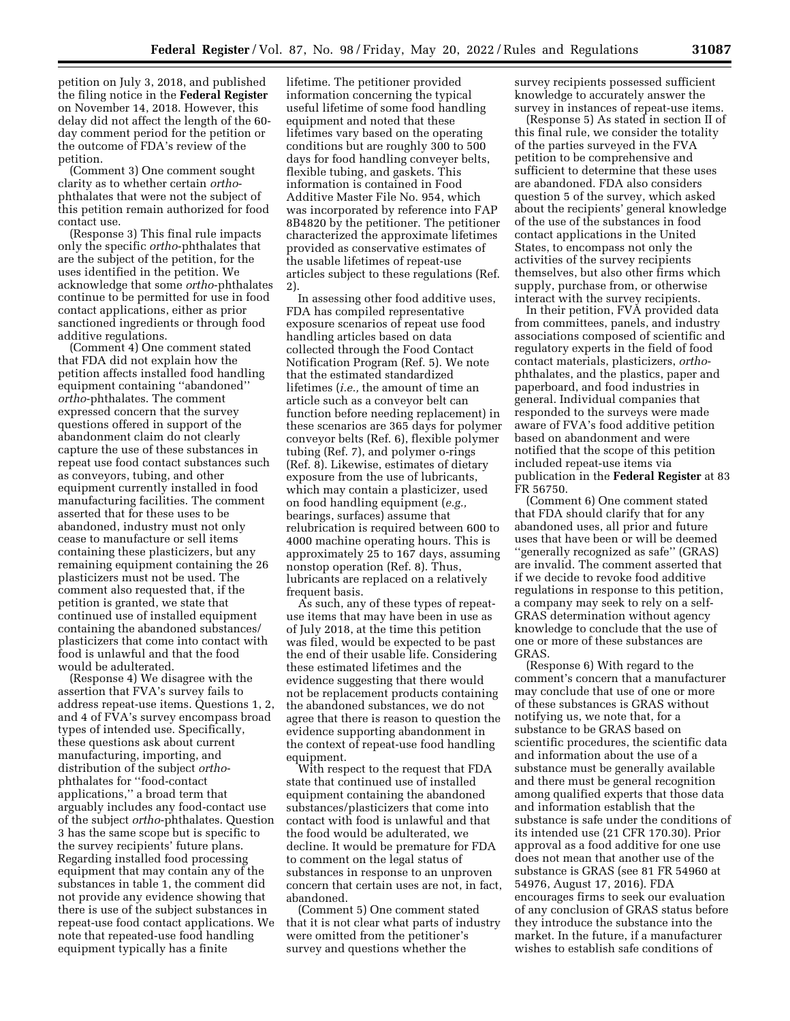petition on July 3, 2018, and published the filing notice in the **Federal Register**  on November 14, 2018. However, this delay did not affect the length of the 60 day comment period for the petition or the outcome of FDA's review of the petition.

(Comment 3) One comment sought clarity as to whether certain *ortho*phthalates that were not the subject of this petition remain authorized for food contact use.

(Response 3) This final rule impacts only the specific *ortho*-phthalates that are the subject of the petition, for the uses identified in the petition. We acknowledge that some *ortho*-phthalates continue to be permitted for use in food contact applications, either as prior sanctioned ingredients or through food additive regulations.

(Comment 4) One comment stated that FDA did not explain how the petition affects installed food handling equipment containing ''abandoned'' *ortho*-phthalates. The comment expressed concern that the survey questions offered in support of the abandonment claim do not clearly capture the use of these substances in repeat use food contact substances such as conveyors, tubing, and other equipment currently installed in food manufacturing facilities. The comment asserted that for these uses to be abandoned, industry must not only cease to manufacture or sell items containing these plasticizers, but any remaining equipment containing the 26 plasticizers must not be used. The comment also requested that, if the petition is granted, we state that continued use of installed equipment containing the abandoned substances/ plasticizers that come into contact with food is unlawful and that the food would be adulterated.

(Response 4) We disagree with the assertion that FVA's survey fails to address repeat-use items. Questions 1, 2, and 4 of FVA's survey encompass broad types of intended use. Specifically, these questions ask about current manufacturing, importing, and distribution of the subject *ortho*phthalates for ''food-contact applications,'' a broad term that arguably includes any food-contact use of the subject *ortho*-phthalates. Question 3 has the same scope but is specific to the survey recipients' future plans. Regarding installed food processing equipment that may contain any of the substances in table 1, the comment did not provide any evidence showing that there is use of the subject substances in repeat-use food contact applications. We note that repeated-use food handling equipment typically has a finite

lifetime. The petitioner provided information concerning the typical useful lifetime of some food handling equipment and noted that these lifetimes vary based on the operating conditions but are roughly 300 to 500 days for food handling conveyer belts, flexible tubing, and gaskets. This information is contained in Food Additive Master File No. 954, which was incorporated by reference into FAP 8B4820 by the petitioner. The petitioner characterized the approximate lifetimes provided as conservative estimates of the usable lifetimes of repeat-use articles subject to these regulations (Ref. 2).

In assessing other food additive uses, FDA has compiled representative exposure scenarios of repeat use food handling articles based on data collected through the Food Contact Notification Program (Ref. 5). We note that the estimated standardized lifetimes (*i.e.,* the amount of time an article such as a conveyor belt can function before needing replacement) in these scenarios are 365 days for polymer conveyor belts (Ref. 6), flexible polymer tubing (Ref. 7), and polymer o-rings (Ref. 8). Likewise, estimates of dietary exposure from the use of lubricants, which may contain a plasticizer, used on food handling equipment (*e.g.,*  bearings, surfaces) assume that relubrication is required between 600 to 4000 machine operating hours. This is approximately 25 to 167 days, assuming nonstop operation (Ref. 8). Thus, lubricants are replaced on a relatively frequent basis.

As such, any of these types of repeatuse items that may have been in use as of July 2018, at the time this petition was filed, would be expected to be past the end of their usable life. Considering these estimated lifetimes and the evidence suggesting that there would not be replacement products containing the abandoned substances, we do not agree that there is reason to question the evidence supporting abandonment in the context of repeat-use food handling equipment.

With respect to the request that FDA state that continued use of installed equipment containing the abandoned substances/plasticizers that come into contact with food is unlawful and that the food would be adulterated, we decline. It would be premature for FDA to comment on the legal status of substances in response to an unproven concern that certain uses are not, in fact, abandoned.

(Comment 5) One comment stated that it is not clear what parts of industry were omitted from the petitioner's survey and questions whether the

survey recipients possessed sufficient knowledge to accurately answer the survey in instances of repeat-use items.

(Response 5) As stated in section II of this final rule, we consider the totality of the parties surveyed in the FVA petition to be comprehensive and sufficient to determine that these uses are abandoned. FDA also considers question 5 of the survey, which asked about the recipients' general knowledge of the use of the substances in food contact applications in the United States, to encompass not only the activities of the survey recipients themselves, but also other firms which supply, purchase from, or otherwise interact with the survey recipients.

In their petition, FVA provided data from committees, panels, and industry associations composed of scientific and regulatory experts in the field of food contact materials, plasticizers, *ortho*phthalates, and the plastics, paper and paperboard, and food industries in general. Individual companies that responded to the surveys were made aware of FVA's food additive petition based on abandonment and were notified that the scope of this petition included repeat-use items via publication in the **Federal Register** at 83 FR 56750.

(Comment 6) One comment stated that FDA should clarify that for any abandoned uses, all prior and future uses that have been or will be deemed ''generally recognized as safe'' (GRAS) are invalid. The comment asserted that if we decide to revoke food additive regulations in response to this petition, a company may seek to rely on a self-GRAS determination without agency knowledge to conclude that the use of one or more of these substances are GRAS.

(Response 6) With regard to the comment's concern that a manufacturer may conclude that use of one or more of these substances is GRAS without notifying us, we note that, for a substance to be GRAS based on scientific procedures, the scientific data and information about the use of a substance must be generally available and there must be general recognition among qualified experts that those data and information establish that the substance is safe under the conditions of its intended use (21 CFR 170.30). Prior approval as a food additive for one use does not mean that another use of the substance is GRAS (see 81 FR 54960 at 54976, August 17, 2016). FDA encourages firms to seek our evaluation of any conclusion of GRAS status before they introduce the substance into the market. In the future, if a manufacturer wishes to establish safe conditions of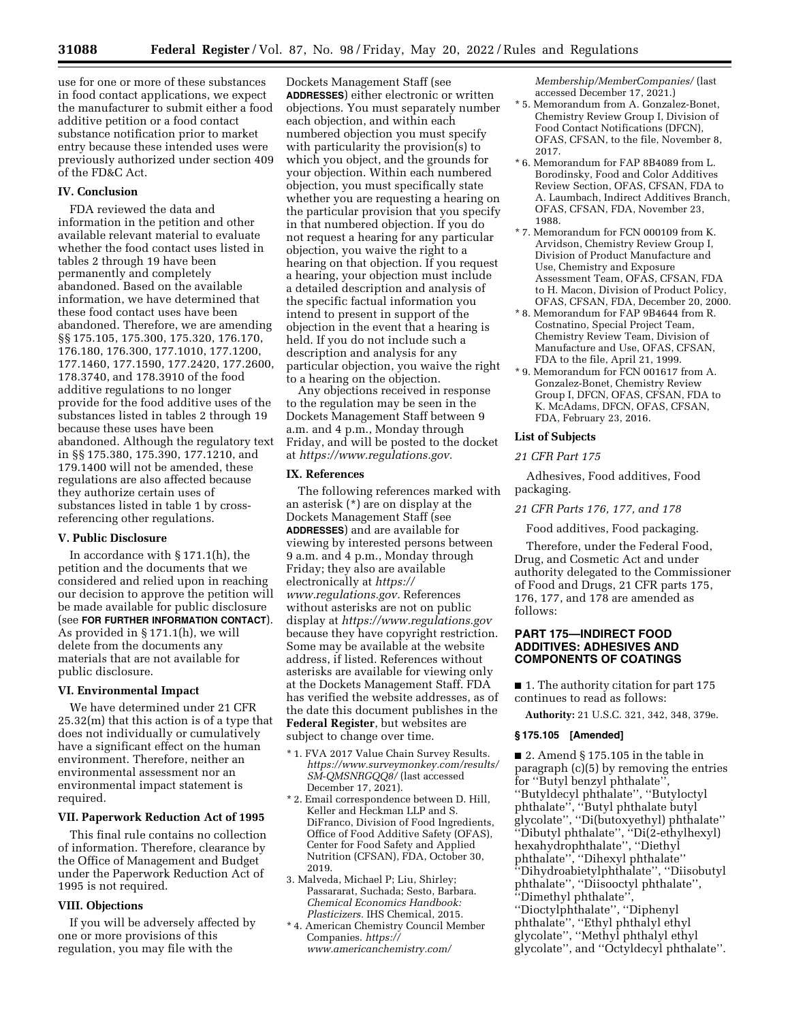use for one or more of these substances in food contact applications, we expect the manufacturer to submit either a food additive petition or a food contact substance notification prior to market entry because these intended uses were previously authorized under section 409 of the FD&C Act.

#### **IV. Conclusion**

FDA reviewed the data and information in the petition and other available relevant material to evaluate whether the food contact uses listed in tables 2 through 19 have been permanently and completely abandoned. Based on the available information, we have determined that these food contact uses have been abandoned. Therefore, we are amending §§ 175.105, 175.300, 175.320, 176.170, 176.180, 176.300, 177.1010, 177.1200, 177.1460, 177.1590, 177.2420, 177.2600, 178.3740, and 178.3910 of the food additive regulations to no longer provide for the food additive uses of the substances listed in tables 2 through 19 because these uses have been abandoned. Although the regulatory text in §§ 175.380, 175.390, 177.1210, and 179.1400 will not be amended, these regulations are also affected because they authorize certain uses of substances listed in table 1 by crossreferencing other regulations.

### **V. Public Disclosure**

In accordance with § 171.1(h), the petition and the documents that we considered and relied upon in reaching our decision to approve the petition will be made available for public disclosure (see **FOR FURTHER INFORMATION CONTACT**). As provided in § 171.1(h), we will delete from the documents any materials that are not available for public disclosure.

#### **VI. Environmental Impact**

We have determined under 21 CFR 25.32(m) that this action is of a type that does not individually or cumulatively have a significant effect on the human environment. Therefore, neither an environmental assessment nor an environmental impact statement is required.

#### **VII. Paperwork Reduction Act of 1995**

This final rule contains no collection of information. Therefore, clearance by the Office of Management and Budget under the Paperwork Reduction Act of 1995 is not required.

#### **VIII. Objections**

If you will be adversely affected by one or more provisions of this regulation, you may file with the

Dockets Management Staff (see **ADDRESSES**) either electronic or written objections. You must separately number each objection, and within each numbered objection you must specify with particularity the provision(s) to which you object, and the grounds for your objection. Within each numbered objection, you must specifically state whether you are requesting a hearing on the particular provision that you specify in that numbered objection. If you do not request a hearing for any particular objection, you waive the right to a hearing on that objection. If you request a hearing, your objection must include a detailed description and analysis of the specific factual information you intend to present in support of the objection in the event that a hearing is held. If you do not include such a description and analysis for any particular objection, you waive the right to a hearing on the objection.

Any objections received in response to the regulation may be seen in the Dockets Management Staff between 9 a.m. and 4 p.m., Monday through Friday, and will be posted to the docket at *[https://www.regulations.gov.](https://www.regulations.gov)* 

#### **IX. References**

The following references marked with an asterisk (\*) are on display at the Dockets Management Staff (see **ADDRESSES**) and are available for viewing by interested persons between 9 a.m. and 4 p.m., Monday through Friday; they also are available electronically at *[https://](https://www.regulations.gov) [www.regulations.gov.](https://www.regulations.gov)* References without asterisks are not on public display at *<https://www.regulations.gov>*  because they have copyright restriction. Some may be available at the website address, if listed. References without asterisks are available for viewing only at the Dockets Management Staff. FDA has verified the website addresses, as of the date this document publishes in the **Federal Register**, but websites are subject to change over time.

- \* 1. FVA 2017 Value Chain Survey Results. *[https://www.surveymonkey.com/results/](https://www.surveymonkey.com/results/SM-QMSNRGQQ8/)  [SM-QMSNRGQQ8/](https://www.surveymonkey.com/results/SM-QMSNRGQQ8/)* (last accessed December 17, 2021).
- \* 2. Email correspondence between D. Hill, Keller and Heckman LLP and S. DiFranco, Division of Food Ingredients, Office of Food Additive Safety (OFAS), Center for Food Safety and Applied Nutrition (CFSAN), FDA, October 30, 2019.
- 3. Malveda, Michael P; Liu, Shirley; Passararat, Suchada; Sesto, Barbara. *Chemical Economics Handbook: Plasticizers.* IHS Chemical, 2015.
- \* 4. American Chemistry Council Member Companies. *[https://](https://www.americanchemistry.com/Membership/MemberCompanies/) [www.americanchemistry.com/](https://www.americanchemistry.com/Membership/MemberCompanies/)*

*[Membership/MemberCompanies/](https://www.americanchemistry.com/Membership/MemberCompanies/)* (last accessed December 17, 2021.)

- \* 5. Memorandum from A. Gonzalez-Bonet, Chemistry Review Group I, Division of Food Contact Notifications (DFCN), OFAS, CFSAN, to the file, November 8, 2017.
- \* 6. Memorandum for FAP 8B4089 from L. Borodinsky, Food and Color Additives Review Section, OFAS, CFSAN, FDA to A. Laumbach, Indirect Additives Branch, OFAS, CFSAN, FDA, November 23, 1988.
- \* 7. Memorandum for FCN 000109 from K. Arvidson, Chemistry Review Group I, Division of Product Manufacture and Use, Chemistry and Exposure Assessment Team, OFAS, CFSAN, FDA to H. Macon, Division of Product Policy, OFAS, CFSAN, FDA, December 20, 2000.
- \* 8. Memorandum for FAP 9B4644 from R. Costnatino, Special Project Team, Chemistry Review Team, Division of Manufacture and Use, OFAS, CFSAN, FDA to the file, April 21, 1999.
- \* 9. Memorandum for FCN 001617 from A. Gonzalez-Bonet, Chemistry Review Group I, DFCN, OFAS, CFSAN, FDA to K. McAdams, DFCN, OFAS, CFSAN, FDA, February 23, 2016.

#### **List of Subjects**

#### *21 CFR Part 175*

Adhesives, Food additives, Food packaging.

#### *21 CFR Parts 176, 177, and 178*

Food additives, Food packaging.

Therefore, under the Federal Food, Drug, and Cosmetic Act and under authority delegated to the Commissioner of Food and Drugs, 21 CFR parts 175, 176, 177, and 178 are amended as follows:

### **PART 175—INDIRECT FOOD ADDITIVES: ADHESIVES AND COMPONENTS OF COATINGS**

■ 1. The authority citation for part 175 continues to read as follows:

**Authority:** 21 U.S.C. 321, 342, 348, 379e.

#### **§ 175.105 [Amended]**

 $\blacksquare$  2. Amend § 175.105 in the table in paragraph (c)(5) by removing the entries for ''Butyl benzyl phthalate'', ''Butyldecyl phthalate'', ''Butyloctyl phthalate'', ''Butyl phthalate butyl glycolate'', ''Di(butoxyethyl) phthalate'' ''Dibutyl phthalate'', ''Di(2-ethylhexyl) hexahydrophthalate'', ''Diethyl phthalate'', ''Dihexyl phthalate'' ''Dihydroabietylphthalate'', ''Diisobutyl phthalate'', ''Diisooctyl phthalate'', ''Dimethyl phthalate'', ''Dioctylphthalate'', ''Diphenyl phthalate'', ''Ethyl phthalyl ethyl glycolate'', ''Methyl phthalyl ethyl glycolate'', and ''Octyldecyl phthalate''.